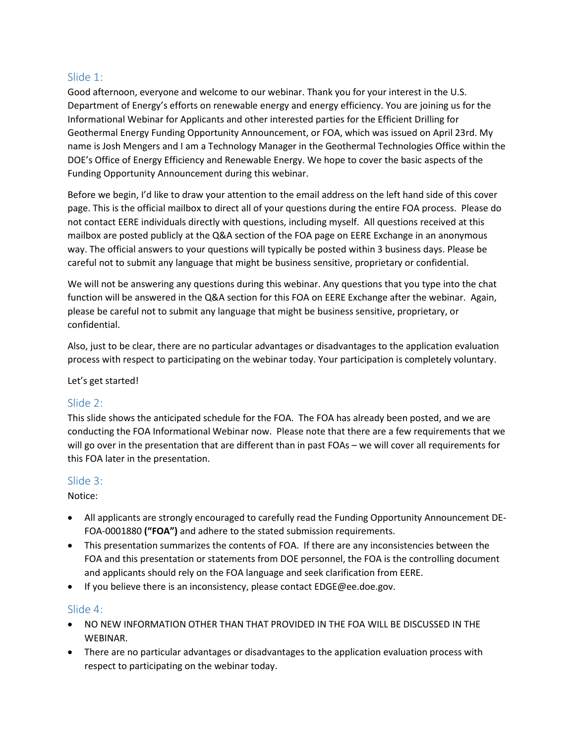# Slide 1:

Good afternoon, everyone and welcome to our webinar. Thank you for your interest in the U.S. Department of Energy's efforts on renewable energy and energy efficiency. You are joining us for the Informational Webinar for Applicants and other interested parties for the Efficient Drilling for Geothermal Energy Funding Opportunity Announcement, or FOA, which was issued on April 23rd. My name is Josh Mengers and I am a Technology Manager in the Geothermal Technologies Office within the DOE's Office of Energy Efficiency and Renewable Energy. We hope to cover the basic aspects of the Funding Opportunity Announcement during this webinar.

Before we begin, I'd like to draw your attention to the email address on the left hand side of this cover page. This is the official mailbox to direct all of your questions during the entire FOA process. Please do not contact EERE individuals directly with questions, including myself. All questions received at this mailbox are posted publicly at the Q&A section of the FOA page on EERE Exchange in an anonymous way. The official answers to your questions will typically be posted within 3 business days. Please be careful not to submit any language that might be business sensitive, proprietary or confidential.

We will not be answering any questions during this webinar. Any questions that you type into the chat function will be answered in the Q&A section for this FOA on EERE Exchange after the webinar. Again, please be careful not to submit any language that might be business sensitive, proprietary, or confidential.

Also, just to be clear, there are no particular advantages or disadvantages to the application evaluation process with respect to participating on the webinar today. Your participation is completely voluntary.

#### Let's get started!

# Slide 2:

This slide shows the anticipated schedule for the FOA. The FOA has already been posted, and we are conducting the FOA Informational Webinar now. Please note that there are a few requirements that we will go over in the presentation that are different than in past FOAs – we will cover all requirements for this FOA later in the presentation.

# Slide 3:

Notice:

- All applicants are strongly encouraged to carefully read the Funding Opportunity Announcement DE-FOA-0001880 **("FOA")** and adhere to the stated submission requirements.
- This presentation summarizes the contents of FOA. If there are any inconsistencies between the FOA and this presentation or statements from DOE personnel, the FOA is the controlling document and applicants should rely on the FOA language and seek clarification from EERE.
- If you believe there is an inconsistency, please contact EDGE@ee.doe.gov.

# Slide 4:

- NO NEW INFORMATION OTHER THAN THAT PROVIDED IN THE FOA WILL BE DISCUSSED IN THE WEBINAR.
- There are no particular advantages or disadvantages to the application evaluation process with respect to participating on the webinar today.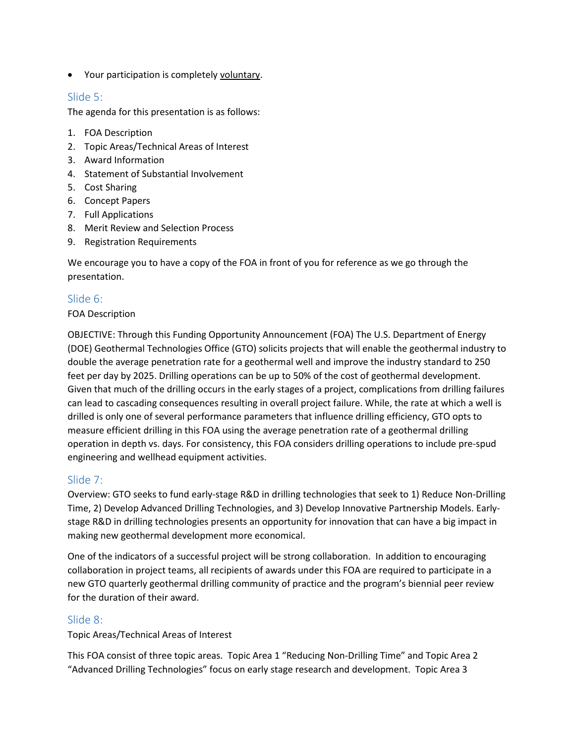• Your participation is completely voluntary.

# Slide 5:

The agenda for this presentation is as follows:

- 1. FOA Description
- 2. Topic Areas/Technical Areas of Interest
- 3. Award Information
- 4. Statement of Substantial Involvement
- 5. Cost Sharing
- 6. Concept Papers
- 7. Full Applications
- 8. Merit Review and Selection Process
- 9. Registration Requirements

We encourage you to have a copy of the FOA in front of you for reference as we go through the presentation.

# Slide 6:

#### FOA Description

OBJECTIVE: Through this Funding Opportunity Announcement (FOA) The U.S. Department of Energy (DOE) Geothermal Technologies Office (GTO) solicits projects that will enable the geothermal industry to double the average penetration rate for a geothermal well and improve the industry standard to 250 feet per day by 2025. Drilling operations can be up to 50% of the cost of geothermal development. Given that much of the drilling occurs in the early stages of a project, complications from drilling failures can lead to cascading consequences resulting in overall project failure. While, the rate at which a well is drilled is only one of several performance parameters that influence drilling efficiency, GTO opts to measure efficient drilling in this FOA using the average penetration rate of a geothermal drilling operation in depth vs. days. For consistency, this FOA considers drilling operations to include pre-spud engineering and wellhead equipment activities.

# Slide 7:

Overview: GTO seeks to fund early-stage R&D in drilling technologies that seek to 1) Reduce Non-Drilling Time, 2) Develop Advanced Drilling Technologies, and 3) Develop Innovative Partnership Models. Earlystage R&D in drilling technologies presents an opportunity for innovation that can have a big impact in making new geothermal development more economical.

One of the indicators of a successful project will be strong collaboration. In addition to encouraging collaboration in project teams, all recipients of awards under this FOA are required to participate in a new GTO quarterly geothermal drilling community of practice and the program's biennial peer review for the duration of their award.

# Slide 8:

Topic Areas/Technical Areas of Interest

This FOA consist of three topic areas. Topic Area 1 "Reducing Non-Drilling Time" and Topic Area 2 "Advanced Drilling Technologies" focus on early stage research and development. Topic Area 3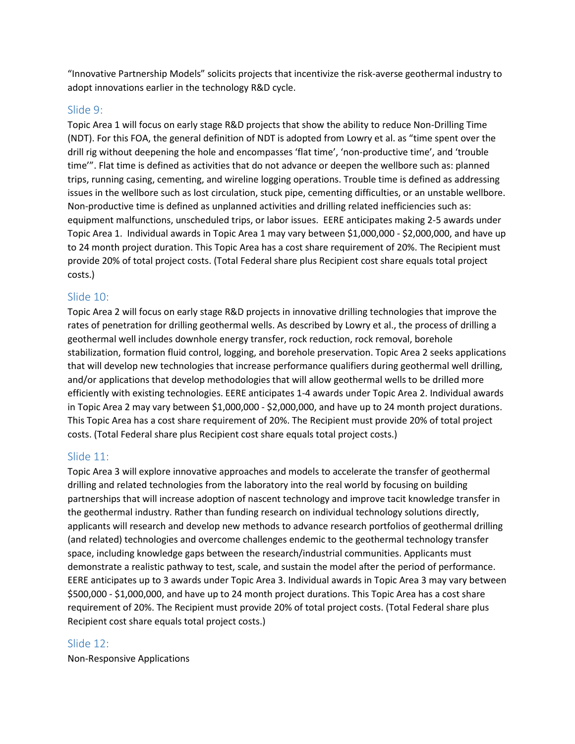"Innovative Partnership Models" solicits projects that incentivize the risk-averse geothermal industry to adopt innovations earlier in the technology R&D cycle.

# Slide 9:

Topic Area 1 will focus on early stage R&D projects that show the ability to reduce Non-Drilling Time (NDT). For this FOA, the general definition of NDT is adopted from Lowry et al. as "time spent over the drill rig without deepening the hole and encompasses 'flat time', 'non-productive time', and 'trouble time'". Flat time is defined as activities that do not advance or deepen the wellbore such as: planned trips, running casing, cementing, and wireline logging operations. Trouble time is defined as addressing issues in the wellbore such as lost circulation, stuck pipe, cementing difficulties, or an unstable wellbore. Non-productive time is defined as unplanned activities and drilling related inefficiencies such as: equipment malfunctions, unscheduled trips, or labor issues. EERE anticipates making 2-5 awards under Topic Area 1. Individual awards in Topic Area 1 may vary between \$1,000,000 - \$2,000,000, and have up to 24 month project duration. This Topic Area has a cost share requirement of 20%. The Recipient must provide 20% of total project costs. (Total Federal share plus Recipient cost share equals total project costs.)

### Slide 10:

Topic Area 2 will focus on early stage R&D projects in innovative drilling technologies that improve the rates of penetration for drilling geothermal wells. As described by Lowry et al., the process of drilling a geothermal well includes downhole energy transfer, rock reduction, rock removal, borehole stabilization, formation fluid control, logging, and borehole preservation. Topic Area 2 seeks applications that will develop new technologies that increase performance qualifiers during geothermal well drilling, and/or applications that develop methodologies that will allow geothermal wells to be drilled more efficiently with existing technologies. EERE anticipates 1-4 awards under Topic Area 2. Individual awards in Topic Area 2 may vary between \$1,000,000 - \$2,000,000, and have up to 24 month project durations. This Topic Area has a cost share requirement of 20%. The Recipient must provide 20% of total project costs. (Total Federal share plus Recipient cost share equals total project costs.)

# Slide 11:

Topic Area 3 will explore innovative approaches and models to accelerate the transfer of geothermal drilling and related technologies from the laboratory into the real world by focusing on building partnerships that will increase adoption of nascent technology and improve tacit knowledge transfer in the geothermal industry. Rather than funding research on individual technology solutions directly, applicants will research and develop new methods to advance research portfolios of geothermal drilling (and related) technologies and overcome challenges endemic to the geothermal technology transfer space, including knowledge gaps between the research/industrial communities. Applicants must demonstrate a realistic pathway to test, scale, and sustain the model after the period of performance. EERE anticipates up to 3 awards under Topic Area 3. Individual awards in Topic Area 3 may vary between \$500,000 - \$1,000,000, and have up to 24 month project durations. This Topic Area has a cost share requirement of 20%. The Recipient must provide 20% of total project costs. (Total Federal share plus Recipient cost share equals total project costs.)

#### Slide 12:

Non-Responsive Applications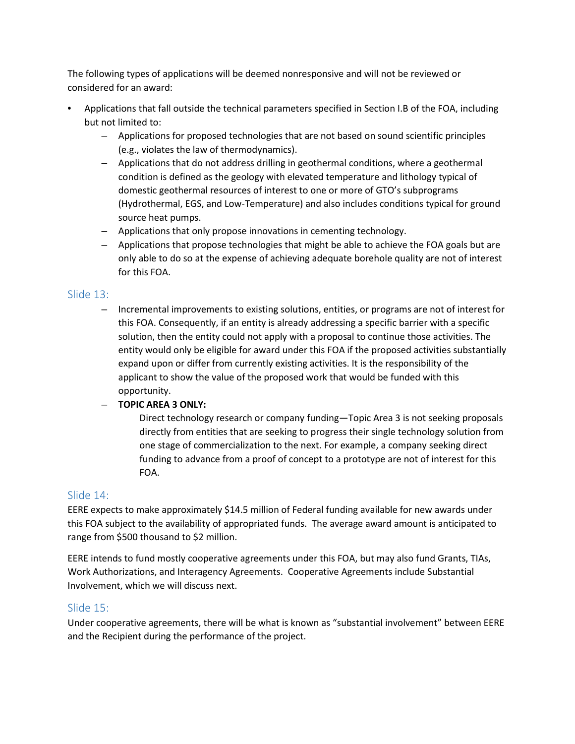The following types of applications will be deemed nonresponsive and will not be reviewed or considered for an award:

- Applications that fall outside the technical parameters specified in Section I.B of the FOA, including but not limited to:
	- Applications for proposed technologies that are not based on sound scientific principles (e.g., violates the law of thermodynamics).
	- Applications that do not address drilling in geothermal conditions, where a geothermal condition is defined as the geology with elevated temperature and lithology typical of domestic geothermal resources of interest to one or more of GTO's subprograms (Hydrothermal, EGS, and Low-Temperature) and also includes conditions typical for ground source heat pumps.
	- Applications that only propose innovations in cementing technology.
	- Applications that propose technologies that might be able to achieve the FOA goals but are only able to do so at the expense of achieving adequate borehole quality are not of interest for this FOA.

### Slide 13:

– Incremental improvements to existing solutions, entities, or programs are not of interest for this FOA. Consequently, if an entity is already addressing a specific barrier with a specific solution, then the entity could not apply with a proposal to continue those activities. The entity would only be eligible for award under this FOA if the proposed activities substantially expand upon or differ from currently existing activities. It is the responsibility of the applicant to show the value of the proposed work that would be funded with this opportunity.

#### – **TOPIC AREA 3 ONLY:**

Direct technology research or company funding—Topic Area 3 is not seeking proposals directly from entities that are seeking to progress their single technology solution from one stage of commercialization to the next. For example, a company seeking direct funding to advance from a proof of concept to a prototype are not of interest for this FOA.

# Slide 14:

EERE expects to make approximately \$14.5 million of Federal funding available for new awards under this FOA subject to the availability of appropriated funds. The average award amount is anticipated to range from \$500 thousand to \$2 million.

EERE intends to fund mostly cooperative agreements under this FOA, but may also fund Grants, TIAs, Work Authorizations, and Interagency Agreements. Cooperative Agreements include Substantial Involvement, which we will discuss next.

# Slide 15:

Under cooperative agreements, there will be what is known as "substantial involvement" between EERE and the Recipient during the performance of the project.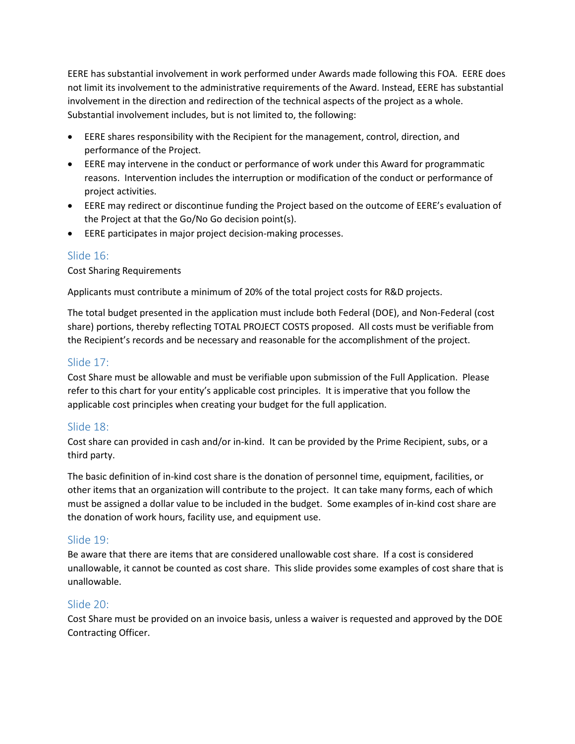EERE has substantial involvement in work performed under Awards made following this FOA. EERE does not limit its involvement to the administrative requirements of the Award. Instead, EERE has substantial involvement in the direction and redirection of the technical aspects of the project as a whole. Substantial involvement includes, but is not limited to, the following:

- EERE shares responsibility with the Recipient for the management, control, direction, and performance of the Project.
- EERE may intervene in the conduct or performance of work under this Award for programmatic reasons. Intervention includes the interruption or modification of the conduct or performance of project activities.
- EERE may redirect or discontinue funding the Project based on the outcome of EERE's evaluation of the Project at that the Go/No Go decision point(s).
- EERE participates in major project decision-making processes.

# Slide 16:

Cost Sharing Requirements

Applicants must contribute a minimum of 20% of the total project costs for R&D projects.

The total budget presented in the application must include both Federal (DOE), and Non-Federal (cost share) portions, thereby reflecting TOTAL PROJECT COSTS proposed. All costs must be verifiable from the Recipient's records and be necessary and reasonable for the accomplishment of the project.

# Slide 17:

Cost Share must be allowable and must be verifiable upon submission of the Full Application. Please refer to this chart for your entity's applicable cost principles. It is imperative that you follow the applicable cost principles when creating your budget for the full application.

# Slide 18:

Cost share can provided in cash and/or in-kind. It can be provided by the Prime Recipient, subs, or a third party.

The basic definition of in-kind cost share is the donation of personnel time, equipment, facilities, or other items that an organization will contribute to the project. It can take many forms, each of which must be assigned a dollar value to be included in the budget. Some examples of in-kind cost share are the donation of work hours, facility use, and equipment use.

# Slide 19:

Be aware that there are items that are considered unallowable cost share. If a cost is considered unallowable, it cannot be counted as cost share. This slide provides some examples of cost share that is unallowable.

# Slide 20:

Cost Share must be provided on an invoice basis, unless a waiver is requested and approved by the DOE Contracting Officer.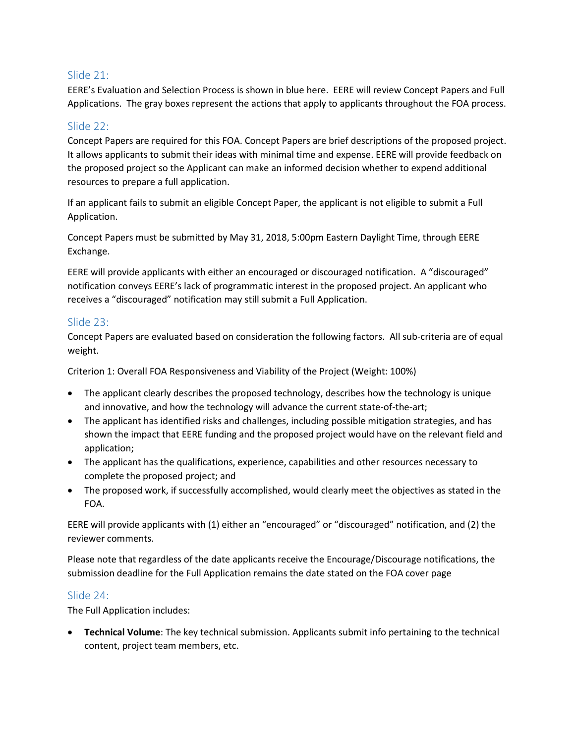### Slide 21:

EERE's Evaluation and Selection Process is shown in blue here. EERE will review Concept Papers and Full Applications. The gray boxes represent the actions that apply to applicants throughout the FOA process.

# Slide 22:

Concept Papers are required for this FOA. Concept Papers are brief descriptions of the proposed project. It allows applicants to submit their ideas with minimal time and expense. EERE will provide feedback on the proposed project so the Applicant can make an informed decision whether to expend additional resources to prepare a full application.

If an applicant fails to submit an eligible Concept Paper, the applicant is not eligible to submit a Full Application.

Concept Papers must be submitted by May 31, 2018, 5:00pm Eastern Daylight Time, through EERE Exchange.

EERE will provide applicants with either an encouraged or discouraged notification. A "discouraged" notification conveys EERE's lack of programmatic interest in the proposed project. An applicant who receives a "discouraged" notification may still submit a Full Application.

### Slide 23:

Concept Papers are evaluated based on consideration the following factors. All sub-criteria are of equal weight.

Criterion 1: Overall FOA Responsiveness and Viability of the Project (Weight: 100%)

- The applicant clearly describes the proposed technology, describes how the technology is unique and innovative, and how the technology will advance the current state-of-the-art;
- The applicant has identified risks and challenges, including possible mitigation strategies, and has shown the impact that EERE funding and the proposed project would have on the relevant field and application;
- The applicant has the qualifications, experience, capabilities and other resources necessary to complete the proposed project; and
- The proposed work, if successfully accomplished, would clearly meet the objectives as stated in the FOA.

EERE will provide applicants with (1) either an "encouraged" or "discouraged" notification, and (2) the reviewer comments.

Please note that regardless of the date applicants receive the Encourage/Discourage notifications, the submission deadline for the Full Application remains the date stated on the FOA cover page

#### Slide 24:

The Full Application includes:

• **Technical Volume**: The key technical submission. Applicants submit info pertaining to the technical content, project team members, etc.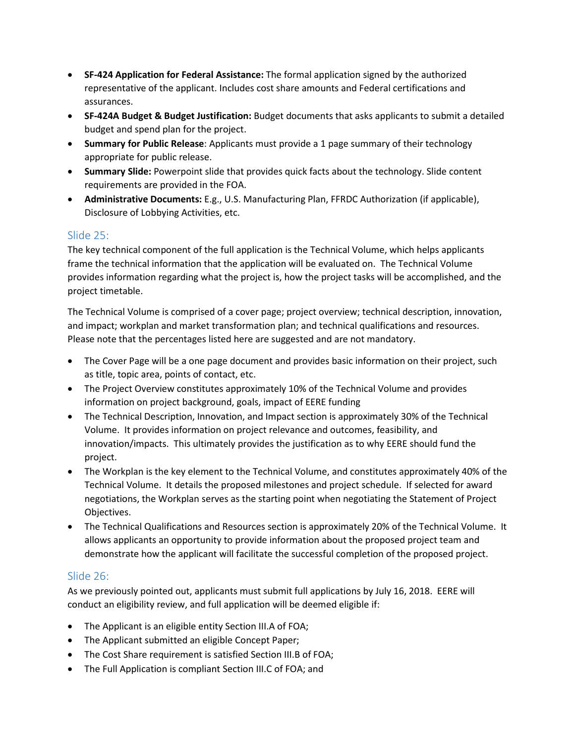- **SF-424 Application for Federal Assistance:** The formal application signed by the authorized representative of the applicant. Includes cost share amounts and Federal certifications and assurances.
- **SF-424A Budget & Budget Justification:** Budget documents that asks applicants to submit a detailed budget and spend plan for the project.
- **Summary for Public Release**: Applicants must provide a 1 page summary of their technology appropriate for public release.
- **Summary Slide:** Powerpoint slide that provides quick facts about the technology. Slide content requirements are provided in the FOA.
- **Administrative Documents:** E.g., U.S. Manufacturing Plan, FFRDC Authorization (if applicable), Disclosure of Lobbying Activities, etc.

# Slide 25:

The key technical component of the full application is the Technical Volume, which helps applicants frame the technical information that the application will be evaluated on. The Technical Volume provides information regarding what the project is, how the project tasks will be accomplished, and the project timetable.

The Technical Volume is comprised of a cover page; project overview; technical description, innovation, and impact; workplan and market transformation plan; and technical qualifications and resources. Please note that the percentages listed here are suggested and are not mandatory.

- The Cover Page will be a one page document and provides basic information on their project, such as title, topic area, points of contact, etc.
- The Project Overview constitutes approximately 10% of the Technical Volume and provides information on project background, goals, impact of EERE funding
- The Technical Description, Innovation, and Impact section is approximately 30% of the Technical Volume. It provides information on project relevance and outcomes, feasibility, and innovation/impacts. This ultimately provides the justification as to why EERE should fund the project.
- The Workplan is the key element to the Technical Volume, and constitutes approximately 40% of the Technical Volume. It details the proposed milestones and project schedule. If selected for award negotiations, the Workplan serves as the starting point when negotiating the Statement of Project Objectives.
- The Technical Qualifications and Resources section is approximately 20% of the Technical Volume. It allows applicants an opportunity to provide information about the proposed project team and demonstrate how the applicant will facilitate the successful completion of the proposed project.

# Slide 26:

As we previously pointed out, applicants must submit full applications by July 16, 2018. EERE will conduct an eligibility review, and full application will be deemed eligible if:

- The Applicant is an eligible entity Section III.A of FOA;
- The Applicant submitted an eligible Concept Paper;
- The Cost Share requirement is satisfied Section III.B of FOA;
- The Full Application is compliant Section III.C of FOA; and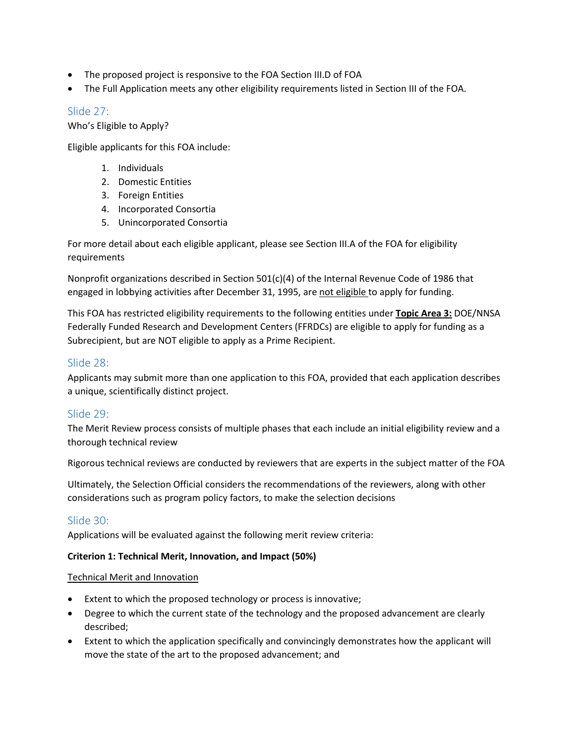- The proposed project is responsive to the FOA Section III.D of FOA
- The Full Application meets any other eligibility requirements listed in Section III of the FOA.

### Slide 27:

Who's Eligible to Apply?

Eligible applicants for this FOA include:

- 1. Individuals
- 2. Domestic Entities
- 3. Foreign Entities
- 4. Incorporated Consortia
- 5. Unincorporated Consortia

For more detail about each eligible applicant, please see Section III.A of the FOA for eligibility requirements

Nonprofit organizations described in Section 501(c)(4) of the Internal Revenue Code of 1986 that engaged in lobbying activities after December 31, 1995, are not eligible to apply for funding.

This FOA has restricted eligibility requirements to the following entities under **Topic Area 3:** DOE/NNSA Federally Funded Research and Development Centers (FFRDCs) are eligible to apply for funding as a Subrecipient, but are NOT eligible to apply as a Prime Recipient.

# Slide 28:

Applicants may submit more than one application to this FOA, provided that each application describes a unique, scientifically distinct project.

# Slide 29:

The Merit Review process consists of multiple phases that each include an initial eligibility review and a thorough technical review

Rigorous technical reviews are conducted by reviewers that are experts in the subject matter of the FOA

Ultimately, the Selection Official considers the recommendations of the reviewers, along with other considerations such as program policy factors, to make the selection decisions

# Slide 30:

Applications will be evaluated against the following merit review criteria:

#### **Criterion 1: Technical Merit, Innovation, and Impact (50%)**

#### Technical Merit and Innovation

- Extent to which the proposed technology or process is innovative;
- Degree to which the current state of the technology and the proposed advancement are clearly described;
- Extent to which the application specifically and convincingly demonstrates how the applicant will move the state of the art to the proposed advancement; and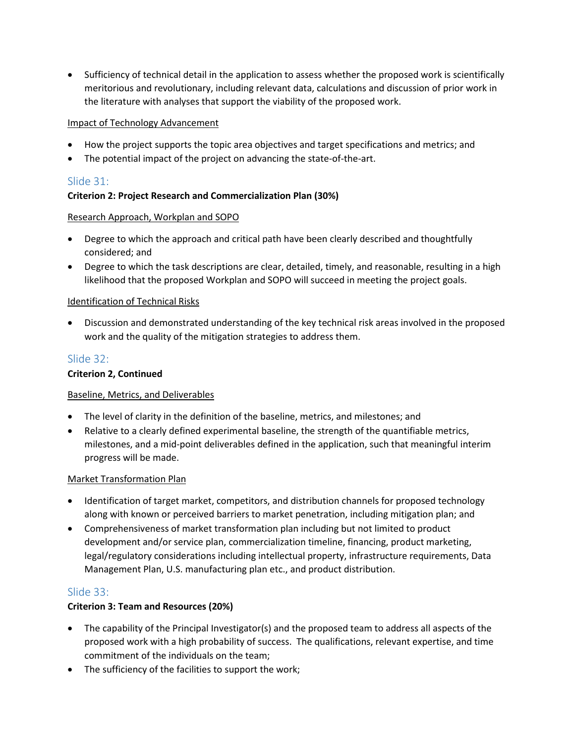• Sufficiency of technical detail in the application to assess whether the proposed work is scientifically meritorious and revolutionary, including relevant data, calculations and discussion of prior work in the literature with analyses that support the viability of the proposed work.

#### Impact of Technology Advancement

- How the project supports the topic area objectives and target specifications and metrics; and
- The potential impact of the project on advancing the state-of-the-art.

# Slide 31:

#### **Criterion 2: Project Research and Commercialization Plan (30%)**

#### Research Approach, Workplan and SOPO

- Degree to which the approach and critical path have been clearly described and thoughtfully considered; and
- Degree to which the task descriptions are clear, detailed, timely, and reasonable, resulting in a high likelihood that the proposed Workplan and SOPO will succeed in meeting the project goals.

#### Identification of Technical Risks

• Discussion and demonstrated understanding of the key technical risk areas involved in the proposed work and the quality of the mitigation strategies to address them.

### Slide 32:

#### **Criterion 2, Continued**

#### Baseline, Metrics, and Deliverables

- The level of clarity in the definition of the baseline, metrics, and milestones; and
- Relative to a clearly defined experimental baseline, the strength of the quantifiable metrics, milestones, and a mid-point deliverables defined in the application, such that meaningful interim progress will be made.

#### Market Transformation Plan

- Identification of target market, competitors, and distribution channels for proposed technology along with known or perceived barriers to market penetration, including mitigation plan; and
- Comprehensiveness of market transformation plan including but not limited to product development and/or service plan, commercialization timeline, financing, product marketing, legal/regulatory considerations including intellectual property, infrastructure requirements, Data Management Plan, U.S. manufacturing plan etc., and product distribution.

# Slide 33:

#### **Criterion 3: Team and Resources (20%)**

- The capability of the Principal Investigator(s) and the proposed team to address all aspects of the proposed work with a high probability of success. The qualifications, relevant expertise, and time commitment of the individuals on the team;
- The sufficiency of the facilities to support the work;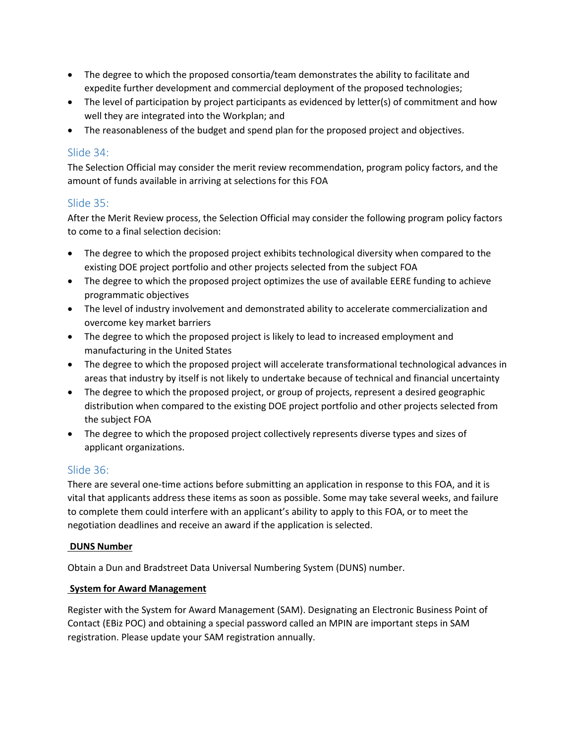- The degree to which the proposed consortia/team demonstrates the ability to facilitate and expedite further development and commercial deployment of the proposed technologies;
- The level of participation by project participants as evidenced by letter(s) of commitment and how well they are integrated into the Workplan; and
- The reasonableness of the budget and spend plan for the proposed project and objectives.

# Slide 34:

The Selection Official may consider the merit review recommendation, program policy factors, and the amount of funds available in arriving at selections for this FOA

### Slide 35:

After the Merit Review process, the Selection Official may consider the following program policy factors to come to a final selection decision:

- The degree to which the proposed project exhibits technological diversity when compared to the existing DOE project portfolio and other projects selected from the subject FOA
- The degree to which the proposed project optimizes the use of available EERE funding to achieve programmatic objectives
- The level of industry involvement and demonstrated ability to accelerate commercialization and overcome key market barriers
- The degree to which the proposed project is likely to lead to increased employment and manufacturing in the United States
- The degree to which the proposed project will accelerate transformational technological advances in areas that industry by itself is not likely to undertake because of technical and financial uncertainty
- The degree to which the proposed project, or group of projects, represent a desired geographic distribution when compared to the existing DOE project portfolio and other projects selected from the subject FOA
- The degree to which the proposed project collectively represents diverse types and sizes of applicant organizations.

#### Slide 36:

There are several one-time actions before submitting an application in response to this FOA, and it is vital that applicants address these items as soon as possible. Some may take several weeks, and failure to complete them could interfere with an applicant's ability to apply to this FOA, or to meet the negotiation deadlines and receive an award if the application is selected.

#### **DUNS Number**

Obtain a Dun and Bradstreet Data Universal Numbering System (DUNS) number.

#### **System for Award Management**

Register with the System for Award Management (SAM). Designating an Electronic Business Point of Contact (EBiz POC) and obtaining a special password called an MPIN are important steps in SAM registration. Please update your SAM registration annually.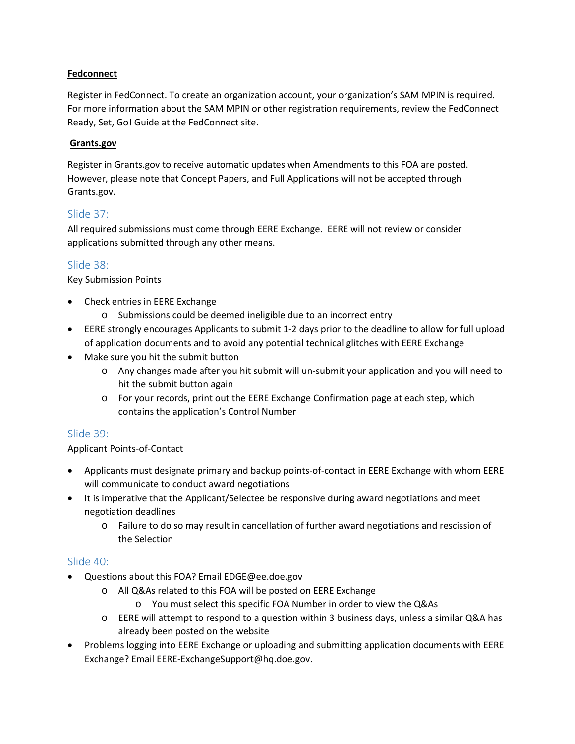#### **Fedconnect**

Register in FedConnect. To create an organization account, your organization's SAM MPIN is required. For more information about the SAM MPIN or other registration requirements, review the FedConnect Ready, Set, Go! Guide at the FedConnect site.

#### **Grants.gov**

Register in Grants.gov to receive automatic updates when Amendments to this FOA are posted. However, please note that Concept Papers, and Full Applications will not be accepted through Grants.gov.

### Slide 37:

All required submissions must come through EERE Exchange. EERE will not review or consider applications submitted through any other means.

### Slide 38:

Key Submission Points

- Check entries in EERE Exchange
	- o Submissions could be deemed ineligible due to an incorrect entry
- EERE strongly encourages Applicants to submit 1-2 days prior to the deadline to allow for full upload of application documents and to avoid any potential technical glitches with EERE Exchange
- Make sure you hit the submit button
	- o Any changes made after you hit submit will un-submit your application and you will need to hit the submit button again
	- o For your records, print out the EERE Exchange Confirmation page at each step, which contains the application's Control Number

#### Slide 39:

#### Applicant Points-of-Contact

- Applicants must designate primary and backup points-of-contact in EERE Exchange with whom EERE will communicate to conduct award negotiations
- It is imperative that the Applicant/Selectee be responsive during award negotiations and meet negotiation deadlines
	- o Failure to do so may result in cancellation of further award negotiations and rescission of the Selection

#### Slide 40:

- Questions about this FOA? Email EDGE@ee.doe.gov
	- o All Q&As related to this FOA will be posted on EERE Exchange
		- o You must select this specific FOA Number in order to view the Q&As
	- o EERE will attempt to respond to a question within 3 business days, unless a similar Q&A has already been posted on the website
- Problems logging into EERE Exchange or uploading and submitting application documents with EERE Exchange? Email EERE-ExchangeSupport@hq.doe.gov.